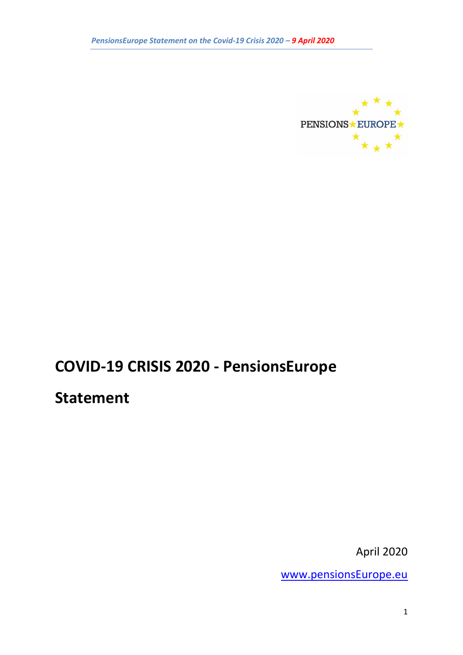

# **COVID-19 CRISIS 2020 - PensionsEurope**

# **Statement**

April 2020

[www.pensionsEurope.eu](http://www.pensionseurope.eu/)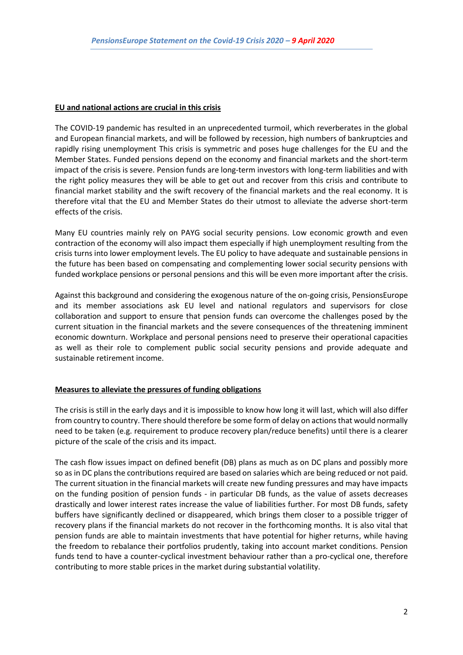#### **EU and national actions are crucial in this crisis**

The COVID-19 pandemic has resulted in an unprecedented turmoil, which reverberates in the global and European financial markets, and will be followed by recession, high numbers of bankruptcies and rapidly rising unemployment This crisis is symmetric and poses huge challenges for the EU and the Member States. Funded pensions depend on the economy and financial markets and the short-term impact of the crisis is severe. Pension funds are long-term investors with long-term liabilities and with the right policy measures they will be able to get out and recover from this crisis and contribute to financial market stability and the swift recovery of the financial markets and the real economy. It is therefore vital that the EU and Member States do their utmost to alleviate the adverse short-term effects of the crisis.

Many EU countries mainly rely on PAYG social security pensions. Low economic growth and even contraction of the economy will also impact them especially if high unemployment resulting from the crisis turns into lower employment levels. The EU policy to have adequate and sustainable pensions in the future has been based on compensating and complementing lower social security pensions with funded workplace pensions or personal pensions and this will be even more important after the crisis.

Against this background and considering the exogenous nature of the on-going crisis, PensionsEurope and its member associations ask EU level and national regulators and supervisors for close collaboration and support to ensure that pension funds can overcome the challenges posed by the current situation in the financial markets and the severe consequences of the threatening imminent economic downturn. Workplace and personal pensions need to preserve their operational capacities as well as their role to complement public social security pensions and provide adequate and sustainable retirement income.

#### **Measures to alleviate the pressures of funding obligations**

The crisis is still in the early days and it is impossible to know how long it will last, which will also differ from country to country. There should therefore be some form of delay on actions that would normally need to be taken (e.g. requirement to produce recovery plan/reduce benefits) until there is a clearer picture of the scale of the crisis and its impact.

The cash flow issues impact on defined benefit (DB) plans as much as on DC plans and possibly more so as in DC plans the contributions required are based on salaries which are being reduced or not paid. The current situation in the financial markets will create new funding pressures and may have impacts on the funding position of pension funds - in particular DB funds, as the value of assets decreases drastically and lower interest rates increase the value of liabilities further. For most DB funds, safety buffers have significantly declined or disappeared, which brings them closer to a possible trigger of recovery plans if the financial markets do not recover in the forthcoming months. It is also vital that pension funds are able to maintain investments that have potential for higher returns, while having the freedom to rebalance their portfolios prudently, taking into account market conditions. Pension funds tend to have a counter-cyclical investment behaviour rather than a pro-cyclical one, therefore contributing to more stable prices in the market during substantial volatility.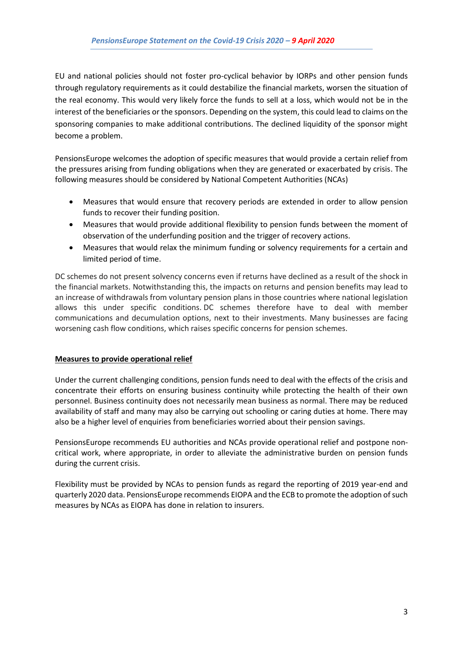EU and national policies should not foster pro-cyclical behavior by IORPs and other pension funds through regulatory requirements as it could destabilize the financial markets, worsen the situation of the real economy. This would very likely force the funds to sell at a loss, which would not be in the interest of the beneficiaries or the sponsors. Depending on the system, this could lead to claims on the sponsoring companies to make additional contributions. The declined liquidity of the sponsor might become a problem.

PensionsEurope welcomes the adoption of specific measures that would provide a certain relief from the pressures arising from funding obligations when they are generated or exacerbated by crisis. The following measures should be considered by National Competent Authorities (NCAs)

- Measures that would ensure that recovery periods are extended in order to allow pension funds to recover their funding position.
- Measures that would provide additional flexibility to pension funds between the moment of observation of the underfunding position and the trigger of recovery actions.
- Measures that would relax the minimum funding or solvency requirements for a certain and limited period of time.

DC schemes do not present solvency concerns even if returns have declined as a result of the shock in the financial markets. Notwithstanding this, the impacts on returns and pension benefits may lead to an increase of withdrawals from voluntary pension plans in those countries where national legislation allows this under specific conditions. DC schemes therefore have to deal with member communications and decumulation options, next to their investments. Many businesses are facing worsening cash flow conditions, which raises specific concerns for pension schemes.

# **Measures to provide operational relief**

Under the current challenging conditions, pension funds need to deal with the effects of the crisis and concentrate their efforts on ensuring business continuity while protecting the health of their own personnel. Business continuity does not necessarily mean business as normal. There may be reduced availability of staff and many may also be carrying out schooling or caring duties at home. There may also be a higher level of enquiries from beneficiaries worried about their pension savings.

PensionsEurope recommends EU authorities and NCAs provide operational relief and postpone noncritical work, where appropriate, in order to alleviate the administrative burden on pension funds during the current crisis.

Flexibility must be provided by NCAs to pension funds as regard the reporting of 2019 year-end and quarterly 2020 data. PensionsEurope recommends EIOPA and the ECB to promote the adoption of such measures by NCAs as EIOPA has done in relation to insurers.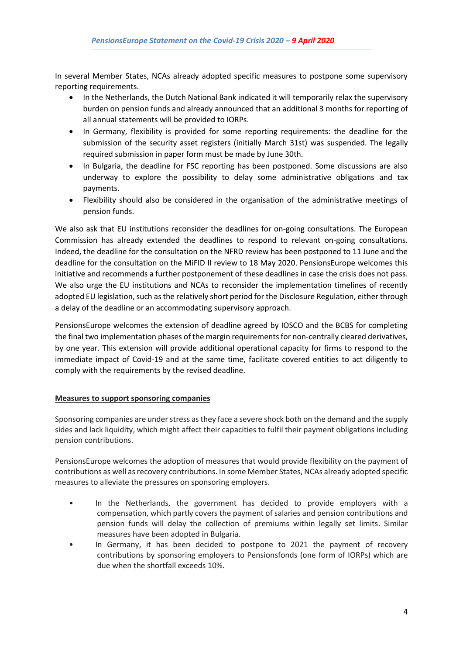In several Member States, NCAs already adopted specific measures to postpone some supervisory reporting requirements.

- In the Netherlands, the Dutch National Bank indicated it will temporarily relax the supervisory burden on pension funds and already announced that an additional 3 months for reporting of all annual statements will be provided to IORPs.
- In Germany, flexibility is provided for some reporting requirements: the deadline for the submission of the security asset registers (initially March 31st) was suspended. The legally required submission in paper form must be made by June 30th.
- In Bulgaria, the deadline for FSC reporting has been postponed. Some discussions are also underway to explore the possibility to delay some administrative obligations and tax payments.
- Flexibility should also be considered in the organisation of the administrative meetings of pension funds.

We also ask that EU institutions reconsider the deadlines for on-going consultations. The European Commission has already extended the deadlines to respond to relevant on-going consultations. Indeed, the deadline for the consultation on the NFRD review has been postponed to 11 June and the deadline for the consultation on the MiFID II review to 18 May 2020. PensionsEurope welcomes this initiative and recommends a further postponement of these deadlines in case the crisis does not pass. We also urge the EU institutions and NCAs to reconsider the implementation timelines of recently adopted EU legislation, such as the relatively short period for the Disclosure Regulation, either through a delay of the deadline or an accommodating supervisory approach.

PensionsEurope welcomes the extension of deadline agreed by IOSCO and the BCBS for completing the final two implementation phases of the margin requirements for non-centrally cleared derivatives, by one year. This extension will provide additional operational capacity for firms to respond to the immediate impact of Covid-19 and at the same time, facilitate covered entities to act diligently to comply with the requirements by the revised deadline.

#### **Measures to support sponsoring companies**

Sponsoring companies are under stress as they face a severe shock both on the demand and the supply sides and lack liquidity, which might affect their capacities to fulfil their payment obligations including pension contributions.

PensionsEurope welcomes the adoption of measures that would provide flexibility on the payment of contributions as well as recovery contributions. In some Member States, NCAs already adopted specific measures to alleviate the pressures on sponsoring employers.

- In the Netherlands, the government has decided to provide employers with a compensation, which partly covers the payment of salaries and pension contributions and pension funds will delay the collection of premiums within legally set limits. Similar measures have been adopted in Bulgaria.
- In Germany, it has been decided to postpone to 2021 the payment of recovery contributions by sponsoring employers to Pensionsfonds (one form of IORPs) which are due when the shortfall exceeds 10%.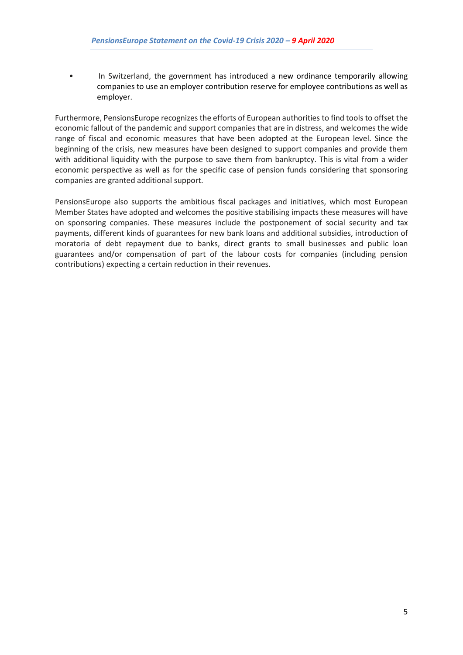• In Switzerland, the government has introduced a new ordinance temporarily allowing companies to use an employer contribution reserve for employee contributions as well as employer.

Furthermore, PensionsEurope recognizes the efforts of European authorities to find tools to offset the economic fallout of the pandemic and support companies that are in distress, and welcomes the wide range of fiscal and economic measures that have been adopted at the European level. Since the beginning of the crisis, new measures have been designed to support companies and provide them with additional liquidity with the purpose to save them from bankruptcy. This is vital from a wider economic perspective as well as for the specific case of pension funds considering that sponsoring companies are granted additional support.

PensionsEurope also supports the ambitious fiscal packages and initiatives, which most European Member States have adopted and welcomes the positive stabilising impacts these measures will have on sponsoring companies. These measures include the postponement of social security and tax payments, different kinds of guarantees for new bank loans and additional subsidies, introduction of moratoria of debt repayment due to banks, direct grants to small businesses and public loan guarantees and/or compensation of part of the labour costs for companies (including pension contributions) expecting a certain reduction in their revenues.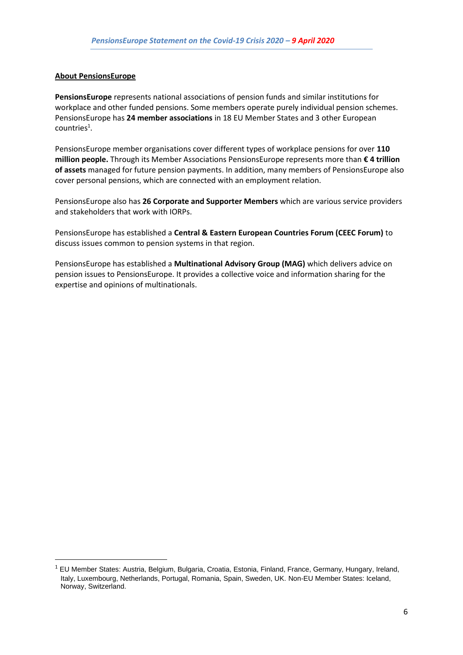#### **About PensionsEurope**

**PensionsEurope** represents national associations of pension funds and similar institutions for workplace and other funded pensions. Some members operate purely individual pension schemes. PensionsEurope has **24 member associations** in 18 EU Member States and 3 other European  $countries<sup>1</sup>$ .

PensionsEurope member organisations cover different types of workplace pensions for over **110 million people.** Through its Member Associations PensionsEurope represents more than **€ 4 trillion of assets** managed for future pension payments. In addition, many members of PensionsEurope also cover personal pensions, which are connected with an employment relation.

PensionsEurope also has **26 Corporate and Supporter Members** which are various service providers and stakeholders that work with IORPs.

PensionsEurope has established a **Central & Eastern European Countries Forum (CEEC Forum)** to discuss issues common to pension systems in that region.

PensionsEurope has established a **Multinational Advisory Group (MAG)** which delivers advice on pension issues to PensionsEurope. It provides a collective voice and information sharing for the expertise and opinions of multinationals.

<sup>1</sup> EU Member States: Austria, Belgium, Bulgaria, Croatia, Estonia, Finland, France, Germany, Hungary, Ireland, Italy, Luxembourg, Netherlands, Portugal, Romania, Spain, Sweden, UK. Non-EU Member States: Iceland, Norway, Switzerland.